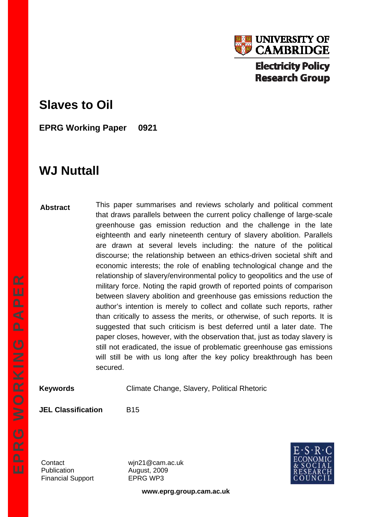

## **Slaves to Oil**

**EPRG Working Paper 0921** 

# **WJ Nuttall**

**Abstract**  This paper summarises and reviews scholarly and political comment that draws parallels between the current policy challenge of large-scale greenhouse gas emission reduction and the challenge in the late eighteenth and early nineteenth century of slavery abolition. Parallels are drawn at several levels including: the nature of the political discourse; the relationship between an ethics-driven societal shift and economic interests; the role of enabling technological change and the relationship of slavery/environmental policy to geopolitics and the use of military force. Noting the rapid growth of reported points of comparison between slavery abolition and greenhouse gas emissions reduction the author's intention is merely to collect and collate such reports, rather than critically to assess the merits, or otherwise, of such reports. It is suggested that such criticism is best deferred until a later date. The paper closes, however, with the observation that, just as today slavery is still not eradicated, the issue of problematic greenhouse gas emissions will still be with us long after the key policy breakthrough has been secured.

**Keywords** Climate Change, Slavery, Political Rhetoric

**JEL Classification** B15

Publication **August, 2009** Financial Support EPRG WP3

Contact wjn21@cam.ac.uk



**www.eprg.group.cam.ac.uk**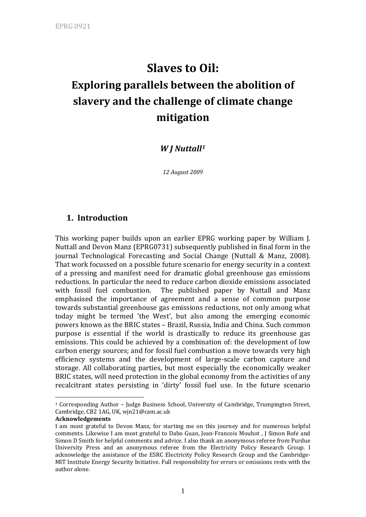# **Slaves to Oil: Exploring parallels between the abolition of slavery and the challenge of climate change mitigation**

## *W J Nuttall[1](#page-1-0)*

*12 August 2009*

## **1. Introduction**

This working paper builds upon an earlier EPRG working paper by William J. Nuttall and Devon Manz (EPRG0731) subsequently published in final form in the journal Technological Forecasting and Social Change (Nuttall & Manz, 2008). That work focussed on a possible future scenario for energy security in a context of a pressing and manifest need for dramatic global greenhouse gas emissions reductions. In particular the need to reduce carbon dioxide emissions associated with fossil fuel combustion. The published paper by Nuttall and Manz emphasised the importance of agreement and a sense of common purpose towards substantial greenhouse gas emissions reductions, not only among what today might be termed 'the West', but also among the emerging economic powers known as the BRIC states – Brazil, Russia, India and China. Such common purpose is essential if the world is drastically to reduce its greenhouse gas emissions. This could be achieved by a combination of: the development of low carbon energy sources; and for fossil fuel combustion a move towards very high efficiency systems and the development of large‐scale carbon capture and storage. All collaborating parties, but most especially the economically weaker BRIC states, will need protection in the global economy from the activities of any recalcitrant states persisting in 'dirty' fossil fuel use. In the future scenario

1

<span id="page-1-0"></span><sup>1</sup> Corresponding Author – Judge Business School, University of Cambridge, Trumpington Street, Cambridge, CB2 1AG, UK, wjn21@cam.ac.uk

**Acknowledgements**

I am most grateful to Devon Manz, for starting me on this journey and for numerous helpful comments. Likewise I am most grateful to Dabo Guan, Jean-Francois Mouhot, J Simon Rofe and Simon D Smith for helpful comments and advice. I also thank an anonymous referee from Purdue University Press and an anonymous referee from the Electricity Policy Research Group. I acknowledge the assistance of the ESRC Electricity Policy Research Group and the Cambridge‐ MIT Institute Energy Security Initiative. Full responsibility for errors or omissions rests with the author alone.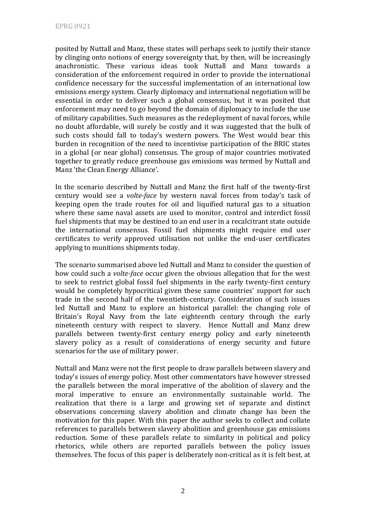posited by Nuttall and Manz, these states will perhaps seek to justify their stance by clinging onto notions of energy sovereignty that, by then, will be increasingly anachronistic. These various ideas took Nuttall and Manz towards a consideration of the enforcement required in order to provide the international confidence necessary for the successful implementation of an international low emissions energy system. Clearly diplomacy and international negotiation will be essential in order to deliver such a global consensus, but it was posited that enforcement may need to go beyond the domain of diplomacy to include the use of military capabilities. Such measures as the redeployment of naval forces, while no doubt affordable, will surely be costly and it was suggested that the bulk of such costs should fall to today's western powers. The West would bear this burden in recognition of the need to incentivise participation of the BRIC states in a global (or near global) consensus. The group of major countries motivated together to greatly reduce greenhouse gas emissions was termed by Nuttall and Manz 'the Clean Energy Alliance'.

In the scenario described by Nuttall and Manz the first half of the twenty‐first century would see a *volteface* by western naval forces from today's task of keeping open the trade routes for oil and liquified natural gas to a situation where these same naval assets are used to monitor, control and interdict fossil fuel shipments that may be destined to an end user in a recalcitrant state outside the international consensus. Fossil fuel shipments might require end user certificates to verify approved utilisation not unlike the end‐user certificates applying to munitions shipments today.

The scenario summarised above led Nuttall and Manz to consider the question of how could such a *volteface* occur given the obvious allegation that for the west to seek to restrict global fossil fuel shipments in the early twenty‐first century would be completely hypocritical given these same countries' support for such trade in the second half of the twentieth‐century. Consideration of such issues led Nuttall and Manz to explore an historical parallel: the changing role of Britain's Royal Navy from the late eighteenth century through the early nineteenth century with respect to slavery. Hence Nuttall and Manz drew parallels between twenty‐first century energy policy and early nineteenth slavery policy as a result of considerations of energy security and future scenarios for the use of military power.

Nuttall and Manz were not the first people to draw parallels between slavery and today's issues of energy policy. Most other commentators have however stressed the parallels between the moral imperative of the abolition of slavery and the moral imperative to ensure an environmentally sustainable world. The realization that there is a large and growing set of separate and distinct observations concerning slavery abolition and climate change has been the motivation for this paper. With this paper the author seeks to collect and collate references to parallels between slavery abolition and greenhouse gas emissions reduction. Some of these parallels relate to similarity in political and policy rhetorics, while others are reported parallels between the policy issues themselves. The focus of this paper is deliberately non‐critical as it is felt best, at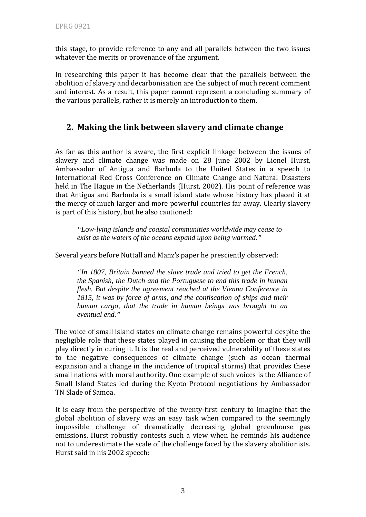this stage, to provide reference to any and all parallels between the two issues whatever the merits or provenance of the argument.

In researching this paper it has become clear that the parallels between the abolition of slavery and decarbonisation are the subject of much recent comment and interest. As a result, this paper cannot represent a concluding summary of he various parallels, rather it is merely an introduction to them. t

## **2. Making the link between slavery and climate change**

As far as this author is aware, the first explicit linkage between the issues of slavery and climate change was made on 28 June 2002 by Lionel Hurst, Ambassador of Antigua and Barbuda to the United States in a speech to International Red Cross Conference on Climate Change and Natural Disasters held in The Hague in the Netherlands (Hurst, 2002). His point of reference was that Antigua and Barbuda is a small island state whose history has placed it at he mercy of much larger and more powerful countries far away. Clearly slavery t is part of this history, but he also cautioned:

*"Low-lying islands and coastal communities worldwide may cease to exist as the waters of the oceans expand upon being warmed."* 

Several years before Nuttall and Manz's paper he presciently observed:

*"In 1807, Britain banned the slave trade and tried to get the French, the Spanish, the Dutch and the Portuguese to end this trade in human flesh. But despite the agreement reached at the Vienna Conference in 1815, it was by force of arms, and the confiscation of ships and their human cargo, that the trade in human beings was brought to an eventual end."* 

The voice of small island states on climate change remains powerful despite the negligible role that these states played in causing the problem or that they will play directly in curing it. It is the real and perceived vulnerability of these states to the negative consequences of climate change (such as ocean thermal expansion and a change in the incidence of tropical storms) that provides these small nations with moral authority. One example of such voices is the Alliance of Small Island States led during the Kyoto Protocol negotiations by Ambassador TN Slade of Samoa.

It is easy from the perspective of the twenty-first century to imagine that the global abolition of slavery was an easy task when compared to the seemingly impossible challenge of dramatically decreasing global greenhouse gas emissions. Hurst robustly contests such a view when he reminds his audience not to underestimate the scale of the challenge faced by the slavery abolitionists. Hurst said in his 2002 speech: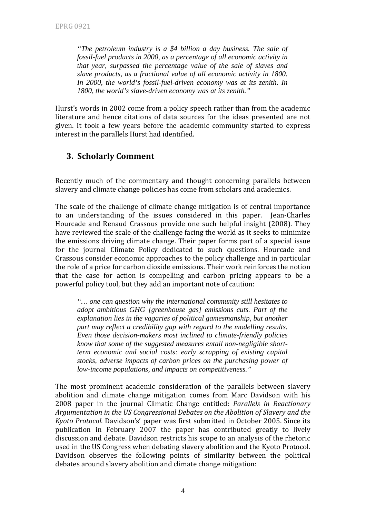*"The petroleum industry is a \$4 billion a day business. The sale of fossil-fuel products in 2000, as a percentage of all economic activity in that year, surpassed the percentage value of the sale of slaves and slave products, as a fractional value of all economic activity in 1800. In 2000, the world's fossil-fuel-driven economy was at its zenith. In 1800, the world's slave-driven economy was at its zenith."* 

Hurst's words in 2002 come from a policy speech rather than from the academic literature and hence citations of data sources for the ideas presented are not given. It took a few years before the academic community started to express interest in the parallels Hurst had identified.

## **3. Scholarly Comment**

Recently much of the commentary and thought concerning parallels between slavery and climate change policies has come from scholars and academics.

The scale of the challenge of climate change mitigation is of central importance to an understanding of the issues considered in this paper. Jean‐Charles Hourcade and Renaud Crassous provide one such helpful insight (2008). They have reviewed the scale of the challenge facing the world as it seeks to minimize the emissions driving climate change. Their paper forms part of a special issue for the journal Climate Policy dedicated to such questions. Hourcade and Crassous consider economic approaches to the policy challenge and in particular the role of a price for carbon dioxide emissions. Their work reinforces the notion that the case for action is compelling and carbon pricing appears to be a powerful policy tool, but they add an important note of caution:

*"… one can question why the international community still hesitates to adopt ambitious GHG [greenhouse gas] emissions cuts. Part of the explanation lies in the vagaries of political gamesmanship, but another part may reflect a credibility gap with regard to the modelling results. Even those decision-makers most inclined to climate-friendly policies know that some of the suggested measures entail non-negligible shortterm economic and social costs: early scrapping of existing capital stocks, adverse impacts of carbon prices on the purchasing power of low-income populations, and impacts on competitiveness."* 

The most prominent academic consideration of the parallels between slavery abolition and climate change mitigation comes from Marc Davidson with his 2008 paper in the journal Climatic Change entitled: *Parallels in Reactionary Argumentation in the US Congressional Debates on the Abolition of Slavery and the Kyoto Protocol.* Davidson's' paper was first submitted in October 2005. Since its publication in February 2007 the paper has contributed greatly to lively discussion and debate. Davidson restricts his scope to an analysis of the rhetoric used in the US Congress when debating slavery abolition and the Kyoto Protocol. Davidson observes the following points of similarity between the political debates around slavery abolition and climate change mitigation: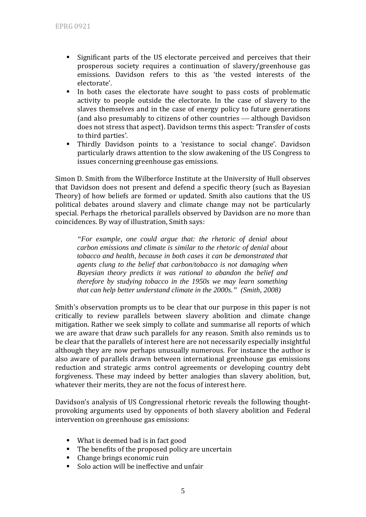- Significant parts of the US electorate perceived and perceives that their prosperous society requires a continuation of slavery/greenhouse gas emissions. Davidson refers to this as 'the vested interests of the electorate'.
- In both cases the electorate have sought to pass costs of problematic activity to people outside the electorate. In the case of slavery to the slaves themselves and in the case of energy policy to future generations (and also presumably to citizens of other countries – although Davidson does not stress that aspect). Davidson terms this aspect: 'Transfer of costs to third parties'.
- Thirdly Davidson points to a 'resistance to social change'. Davidson particularly draws attention to the slow awakening of the US Congress to issues concerning greenhouse gas emissions.

Simon D. Smith from the Wilberforce Institute at the University of Hull observes that Davidson does not present and defend a specific theory (such as Bayesian Theory) of how beliefs are formed or updated. Smith also cautions that the US political debates around slavery and climate change may not be particularly special. Perhaps the rhetorical parallels observed by Davidson are no more than oincidences. By way of illustration, Smith says: c

*"For example, one could argue that: the rhetoric of denial about carbon emissions and climate is similar to the rhetoric of denial about tobacco and health, because in both cases it can be demonstrated that agents clung to the belief that carbon/tobacco is not damaging when Bayesian theory predicts it was rational to abandon the belief and therefore by studying tobacco in the 1950s we may learn something that can help better understand climate in the 2000s." (Smith, 2008)* 

Smith's observation prompts us to be clear that our purpose in this paper is not critically to review parallels between slavery abolition and climate change mitigation. Rather we seek simply to collate and summarise all reports of which we are aware that draw such parallels for any reason. Smith also reminds us to be clear that the parallels of interest here are not necessarily especially insightful although they are now perhaps unusually numerous. For instance the author is also aware of parallels drawn between international greenhouse gas emissions reduction and strategic arms control agreements or developing country debt forgiveness. These may indeed by better analogies than slavery abolition, but, whatever their merits, they are not the focus of interest here.

Davidson's analysis of US Congressional rhetoric reveals the following thoughtprovoking arguments used by opponents of both slavery abolition and Federal intervention on greenhouse gas emissions:

- What is deemed bad is in fact good
- The benefits of the proposed policy are uncertain
- $\mathbf{E}^{(1)}$ Change brings economic ruin
- $\blacksquare$  Solo action will be ineffective and unfair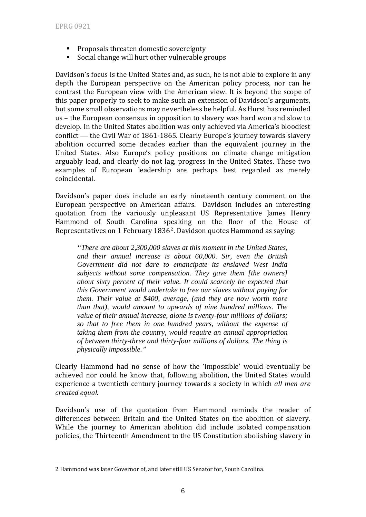<u>.</u>

- **Proposals threaten domestic sovereignty**
- Social change will hurt other vulnerable groups

Davidson's focus is the United States and, as such, he is not able to explore in any depth the European perspective on the American policy process, nor can he contrast the European view with the American view. It is beyond the scope of this paper properly to seek to make such an extension of Davidson's arguments, but some small observations may nevertheless be helpful. As Hurst has reminded us – the European consensus in opposition to slavery was hard won and slow to develop. In the United States abolition was only achieved via America's bloodiest conflict — the Civil War of 1861-1865. Clearly Europe's journey towards slavery abolition occurred some decades earlier than the equivalent journey in the United States. Also Europe's policy positions on climate change mitigation arguably lead, and clearly do not lag, progress in the United States. These two examples of European leadership are perhaps best regarded as merely coincidental.

Davidson's paper does include an early nineteenth century comment on the European perspective on American affairs. Davidson includes an interesting quotation from the variously unpleasant US Representative James Henry Hammond of South Carolina s[pe](#page-6-0)aking on the floor of the House of Representatives on 1 February 1836<sup>2</sup>. Davidson quotes Hammond as saying:

*"There are about 2,300,000 slaves at this moment in the United States, and their annual increase is about 60,000. Sir, even the British Government did not dare to emancipate its enslaved West India subjects without some compensation. They gave them [the owners] about sixty percent of their value. It could scarcely be expected that this Government would undertake to free our slaves without paying for them. Their value at \$400, average, (and they are now worth more than that), would amount to upwards of nine hundred millions. The value of their annual increase, alone is twenty-four millions of dollars; so that to free them in one hundred years, without the expense of taking them from the country, would require an annual appropriation of between thirty-three and thirty-four millions of dollars. The thing is physically impossible."* 

Clearly Hammond had no sense of how the 'impossible' would eventually be achieved nor could he know that, following abolition, the United States would experience a twentieth century journey towards a society in which *all men are created equal.*

Davidson's use of the quotation from Hammond reminds the reader of differences between Britain and the United States on the abolition of slavery. While the iourney to American abolition did include isolated compensation policies, the Thirteenth Amendment to the US Constitution abolishing slavery in

<span id="page-6-0"></span><sup>2</sup> Hammond was later Governor of, and later still US Senator for, South Carolina.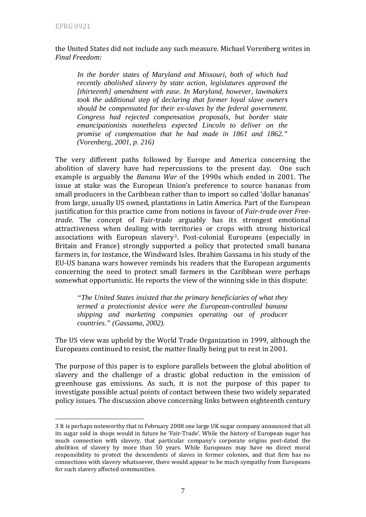1

#### the United States did not include any such measure. Michael Vorenberg writes in *Final Freedom:*

 *In the border states of Maryland and Missouri, both of which had recently abolished slavery by state action, legislatures approved the [thirteenth] amendment with ease. In Maryland, however, lawmakers took the additional step of declaring that former loyal slave owners should be compensated for their ex-slaves by the federal government. Congress had rejected compensation proposals, but border state emancipationists nonetheless expected Lincoln to deliver on the promise of compensation that he had made in 1861 and 1862." (Vorenberg, 2001, p. 216)* 

The very different paths followed by Europe and America concerning the abolition of slavery have had repercussions to the present day. One such example is arguably the *Banana War* of the 1990s which ended in 2001. The issue at stake was the European Union's preference to source bananas from small producers in the Caribbean rather than to import so called 'dollar bananas' from large, usually US owned, plantations in Latin America. Part of the European justification for this practice came from notions in favour of *Fairtrade* over *Freetrade*. The concept of Fair‐trade arguably has its strongest emotional attractiveness when dealing with t[er](#page-7-0)ritories or crops with strong historical associations with European slavery<sup>3</sup>. Post-colonial Europeans (especially in Britain and France) strongly supported a policy that protected small banana farmers in, for instance, the Windward Isles. Ibrahim Gassama in his study of the EU‐US banana wars however reminds his readers that the European arguments oncerning the need to protect small farmers in the Caribbean were perhaps c somewhat opportunistic. He reports the view of the winning side in this dispute:

*"The United States insisted that the primary beneficiaries of what they termed a protectionist device were the European-controlled banana shipping and marketing companies operating out of producer countries." (Gassama, 2002).* 

The US view was upheld by the World Trade Organization in 1999, although the Europeans continued to resist, the matter finally being put to rest in 2001.

The purpose of this paper is to explore parallels between the global abolition of slavery and the challenge of a drastic global reduction in the emission of greenhouse gas emissions. As such, it is not the purpose of this paper to investigate possible actual points of contact between these two widely separated policy issues. The discussion above concerning links between eighteenth century

<span id="page-7-0"></span><sup>3</sup> It is perhaps noteworthy that in February 2008 one large UK sugar company announced that all its sugar sold in shops would in future be 'Fair‐Trade'. While the history of European sugar has much connection with slavery, that particular company's corporate origins post-dated the abolition of slavery by more than 50 years. While Europeans may have no direct moral responsibility to protect the descendents of slaves in former colonies, and that firm has no connections with slavery whatsoever, there would appear to be much sympathy from Europeans for such slavery affected communities.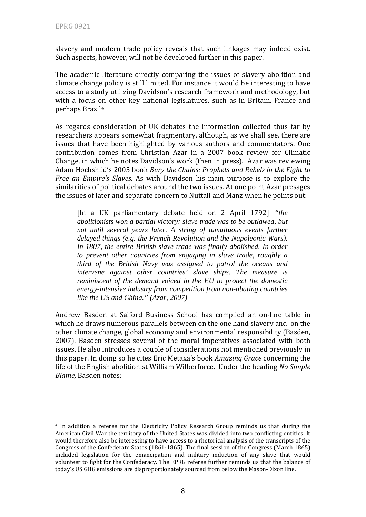1

slavery and modern trade policy reveals that such linkages may indeed exist. Such aspects, however, will not be developed further in this paper.

The academic literature directly comparing the issues of slavery abolition and climate change policy is still limited. For instance it would be interesting to have access to a study utilizing Davidson's research framework and methodology, but with a focus on other key national legislatures, such as in Britain, France and perhaps Brazil4

As regards consideration of UK debates the information collected thus far by researchers appears somewhat fragmentary, although, as we shall see, there are issues that have been highlighted by various authors and commentators. One contribution comes from Christian Azar in a 2007 book review for Climatic Change, in which he notes Davidson's work (then in press). Azar was reviewing Adam Hochshild's 2005 book *Bury the Chains: Prophets and Rebels in the Fight to Free an Empire's Slaves.* As with Davidson his main purpose is to explore the similarities of political debates around the two issues. At one point Azar presages the issues of later and separate concern to Nuttall and Manz when he points out:

[In a UK parliamentary debate held on 2 April 1792] *"the abolitionists won a partial victory: slave trade was to be outlawed, but not until several years later. A string of tumultuous events further delayed things (e.g. the French Revolution and the Napoleonic Wars). In 1807, the entire British slave trade was finally abolished. In order to prevent other countries from engaging in slave trade, roughly a third of the British Navy was assigned to patrol the oceans and intervene against other countries' slave ships. The measure is reminiscent of the demand voiced in the EU to protect the domestic energy-intensive industry from competition from non-abating countries like the US and China." (Azar, 2007)* 

Andrew Basden at Salford Business School has compiled an on‐line table in which he draws numerous parallels between on the one hand slavery and on the other climate change, global economy and environmental responsibility (Basden, 2007). Basden stresses several of the moral imperatives associated with both issues. He also introduces a couple of considerations not mentioned previously in this paper. In doing so he cites Eric Metaxa's book *Amazing Grace* concerning the ife of the English abolitionist William Wilberforce. Under the heading *No Simple* l *lame,* Basden notes: *B*

<sup>&</sup>lt;sup>4</sup> In addition a referee for the Electricity Policy Research Group reminds us that during the American Civil War the territory of the United States was divided into two conflicting entities. It would therefore also be interesting to have access to a rhetorical analysis of the transcripts of the Congress of the Confederate States (1861‐1865). The final session of the Congress (March 1865) included legislation for the emancipation and military induction of any slave that would volunteer to fight for the Confederacy. The EPRG referee further reminds us that the balance of today's US GHG emissions are disproportionately sourced from below the Mason‐Dixon line.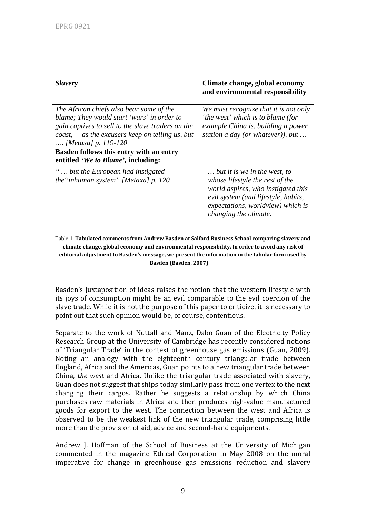| <b>Slavery</b>                                                                                                                                                                                                          | Climate change, global economy<br>and environmental responsibility                                                                                                                                         |
|-------------------------------------------------------------------------------------------------------------------------------------------------------------------------------------------------------------------------|------------------------------------------------------------------------------------------------------------------------------------------------------------------------------------------------------------|
| The African chiefs also bear some of the<br>blame; They would start 'wars' in order to<br>gain captives to sell to the slave traders on the<br>as the excusers keep on telling us, but<br>coast,<br>[Metaxa] p. 119-120 | We must recognize that it is not only<br>'the west' which is to blame (for<br>example China is, building a power<br>station a day (or whatever)), but                                                      |
| Basden follows this entry with an entry<br>entitled 'We to Blame', including:                                                                                                                                           |                                                                                                                                                                                                            |
| " but the European had instigated<br>the "inhuman system" [Metaxa] $p. 120$                                                                                                                                             | but it is we in the west, to<br>whose lifestyle the rest of the<br>world aspires, who instigated this<br>evil system (and lifestyle, habits,<br>expectations, worldview) which is<br>changing the climate. |

Table 1. **Tabulated comments from Andrew Basden at Salford Business School comparing slavery and climate change, global economy and environmental responsibility. In order to avoid any risk of editorial adjustment to Basden's message, we present the information in the tabular form used by Basden (Basden, 2007)**

Basden's juxtaposition of ideas raises the notion that the western lifestyle with its joys of consumption might be an evil comparable to the evil coercion of the slave trade. While it is not the purpose of this paper to criticize, it is necessary to point out that such opinion would be, of course, contentious.

Separate to the work of Nuttall and Manz, Dabo Guan of the Electricity Policy Research Group at the University of Cambridge has recently considered notions of 'Triangular Trade' in the context of greenhouse gas emissions (Guan, 2009). Noting an analogy with the eighteenth century triangular trade between England, Africa and the Americas, Guan points to a new triangular trade between China, *the west* and Africa. Unlike the triangular trade associated with slavery, Guan does not suggest that ships today similarly pass from one vertex to the next changing their cargos. Rather he suggests a relationship by which China purchases raw materials in Africa and then produces high‐value manufactured goods for export to the west. The connection between the west and Africa is observed to be the weakest link of the new triangular trade, comprising little more than the provision of aid, advice and second‐hand equipments.

Andrew J. Hoffman of the School of Business at the University of Michigan commented in the magazine Ethical Corporation in May 2008 on the moral imperative for change in greenhouse gas emissions reduction and slavery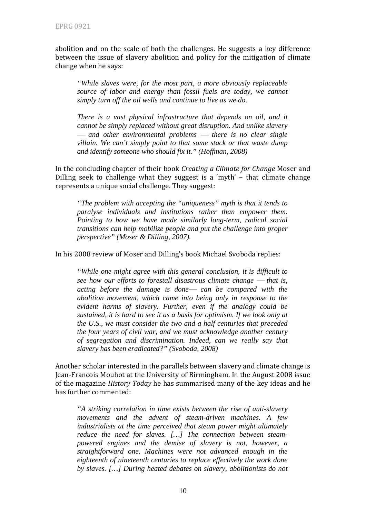abolition and on the scale of both the challenges. He suggests a key difference between the issue of slavery abolition and policy for the mitigation of climate change when he says:

*"While slaves were, for the most part, a more obviously replaceable source of labor and energy than fossil fuels are today, we cannot simply turn off the oil wells and continue to live as we do.* 

*There is a vast physical infrastructure that depends on oil, and it cannot be simply replaced without great disruption. And unlike slavery*   $-$  and other environmental problems  $-$  there is no clear single *villain. We can't simply point to that some stack or that waste dump and identify someone who should fix it." (Hoffman, 2008)* 

In the concluding chapter of their book *Creating a Climate for Change* Moser and Dilling seek to challenge what they suggest is a 'myth' - that climate change represents a unique social challenge. They suggest:

*"The problem with accepting the "uniqueness" myth is that it tends to paralyse individuals and institutions rather than empower them. Pointing to how we have made similarly long-term, radical social transitions can help mobilize people and put the challenge into proper perspective" (Moser & Dilling, 2007).* 

In his 2008 review of Moser and Dilling's book Michael Svoboda replies:

*"While one might agree with this general conclusion, it is difficult to see how our efforts to forestall disastrous climate change — that is, acting before the damage is done*— *can be compared with the abolition movement, which came into being only in response to the evident harms of slavery. Further, even if the analogy could be sustained, it is hard to see it as a basis for optimism. If we look only at the U.S., we must consider the two and a half centuries that preceded the four years of civil war, and we must acknowledge another century of segregation and discrimination. Indeed, can we really say that slavery has been eradicated?" (Svoboda, 2008)* 

Another scholar interested in the parallels between slavery and climate change is Jean‐Francois Mouhot at the University of Birmingham. In the August 2008 issue of the magazine *History Today* he has summarised many of the key ideas and he has further commented:

*"A striking correlation in time exists between the rise of anti-slavery movements and the advent of steam-driven machines. A few industrialists at the time perceived that steam power might ultimately reduce the need for slaves. […] The connection between steampowered engines and the demise of slavery is not, however, a straightforward one. Machines were not advanced enough in the eighteenth of nineteenth centuries to replace effectively the work done by slaves. […] During heated debates on slavery, abolitionists do not*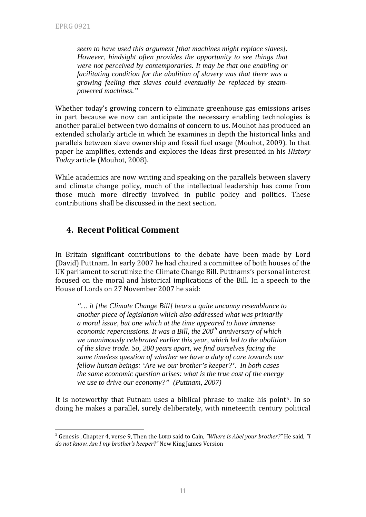1

*seem to have used this argument [that machines might replace slaves]. However, hindsight often provides the opportunity to see things that were not perceived by contemporaries. It may be that one enabling or facilitating condition for the abolition of slavery was that there was a growing feeling that slaves could eventually be replaced by steampowered machines."* 

Whether today's growing concern to eliminate greenhouse gas emissions arises in part because we now can anticipate the necessary enabling technologies is another parallel between two domains of concern to us. Mouhot has produced an extended scholarly article in which he examines in depth the historical links and parallels between slave ownership and fossil fuel usage (Mouhot, 2009). In that paper he amplifies, extends and explores the ideas first presented in his *History Today* article (Mouhot, 2008).

While academics are now writing and speaking on the parallels between slavery and climate change policy, much of the intellectual leadership has come from those much more directly involved in public policy and politics. These ontributions shall be discussed in the next section. c

## **4. Recent Political Comment**

In Britain significant contributions to the debate have been made by Lord (David) Puttnam. In early 2007 he had chaired a committee of both houses of the UK parliament to scrutinize the Climate Change Bill. Puttnams's personal interest focused on the moral and historical implications of the Bill. In a speech to the House of Lords on 27 November 2007 he said:

*"… it [the Climate Change Bill] bears a quite uncanny resemblance to another piece of legislation which also addressed what was primarily a moral issue, but one which at the time appeared to have immense economic repercussions. It was a Bill, the 200<sup>th</sup> anniversary of which we unanimously celebrated earlier this year, which led to the abolition of the slave trade. So, 200 years apart, we find ourselves facing the same timeless question of whether we have a duty of care towards our fellow human beings: 'Are we our brother's keeper?'. In both cases the same economic question arises: what is the true cost of the energy we use to drive our economy?" (Puttnam, 2007)* 

It is noteworthy that Putnam uses a biblical phrase to make his point<sup>[5](#page-11-0)</sup>. In so doing he makes a parallel, surely deliberately, with nineteenth century political

<span id="page-11-0"></span><sup>5</sup> Genesis , Chapter 4, verse 9, Then the LORD said to Cain, *"Where is Abel your brother?"* He said*, "I do not know. Am I my brother's keeper?"* New King James Version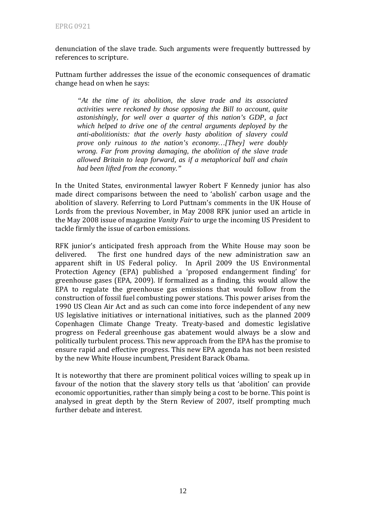denunciation of the slave trade. Such arguments were frequently buttressed by references to scripture.

Puttnam further addresses the issue of the economic consequences of dramatic change head on when he says:

 *"At the time of its abolition, the slave trade and its associated activities were reckoned by those opposing the Bill to account, quite astonishingly, for well over a quarter of this nation's GDP, a fact which helped to drive one of the central arguments deployed by the anti-abolitionists: that the overly hasty abolition of slavery could prove only ruinous to the nation's economy…[They] were doubly wrong. Far from proving damaging, the abolition of the slave trade allowed Britain to leap forward, as if a metaphorical ball and chain had been lifted from the economy."* 

In the United States, environmental lawyer Robert F Kennedy junior has also made direct comparisons between the need to 'abolish' carbon usage and the abolition of slavery. Referring to Lord Puttnam's comments in the UK House of Lords from the previous November, in May 2008 RFK junior used an article in the May 2008 issue of magazine *Vanity Fair* to urge the incoming US President to tackle firmly the issue of carbon emissions.

RFK junior's anticipated fresh approach from the White House may soon be delivered. The first one hundred days of the new administration saw an apparent shift in US Federal policy. In April 2009 the US Environmental Protection Agency (EPA) published a 'proposed endangerment finding' for greenhouse gases (EPA, 2009). If formalized as a finding, this would allow the EPA to regulate the greenhouse gas emissions that would follow from the construction of fossil fuel combusting power stations. This power arises from the 1990 US Clean Air Act and as such can come into force independent of any new US legislative initiatives or international initiatives, such as the planned 2009 Copenhagen Climate Change Treaty. Treaty‐based and domestic legislative progress on Federal greenhouse gas abatement would always be a slow and politically turbulent process. This new approach from the EPA has the promise to ensure rapid and effective progress. This new EPA agenda has not been resisted by the new White House incumbent, President Barack Obama.

It is noteworthy that there are prominent political voices willing to speak up in favour of the notion that the slavery story tells us that 'abolition' can provide economic opportunities, rather than simply being a cost to be borne. This point is analysed in great depth by the Stern Review of 2007, itself prompting much further debate and interest.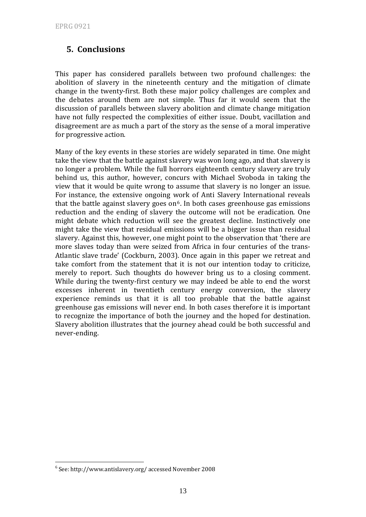## **5. Conclusions**

This paper has considered parallels between two profound challenges: the abolition of slavery in the nineteenth century and the mitigation of climate change in the twenty‐first. Both these major policy challenges are complex and the debates around them are not simple. Thus far it would seem that the discussion of parallels between slavery abolition and climate change mitigation have not fully respected the complexities of either issue. Doubt, vacillation and disagreement are as much a part of the story as the sense of a moral imperative for progressive action.

Many of the key events in these stories are widely separated in time. One might take the view that the battle against slavery was won long ago, and that slavery is no longer a problem. While the full horrors eighteenth century slavery are truly behind us, this author, however, concurs with Michael Svoboda in taking the view that it would be quite wrong to assume that slavery is no longer an issue. For instance, the extensive ongoing work of Anti Slavery International reveals that the battle against slavery goes on<sup> $6$ </sup>. In both cases greenhouse gas emissions reduction and the ending of slavery the outcome will not be eradication. One might debate which reduction will see the greatest decline. Instinctively one might take the view that residual emissions will be a bigger issue than residual slavery. Against this, however, one might point to the observation that 'there are more slaves today than were seized from Africa in four centuries of the trans-Atlantic slave trade' (Cockburn, 2003). Once again in this paper we retreat and take comfort from the statement that it is not our intention today to criticize, merely to report. Such thoughts do however bring us to a closing comment. While during the twenty-first century we may indeed be able to end the worst excesses inherent in twentieth century energy conversion, the slavery experience reminds us that it is all too probable that the battle against greenhouse gas emissions will never end. In both cases therefore it is important to recognize the importance of both the journey and the hoped for destination. Slavery abolition illustrates that the journey ahead could be both successful and never‐ending.

<u>.</u>

<span id="page-13-0"></span><sup>6</sup> See: http://www.antislavery.org/ accessed November 2008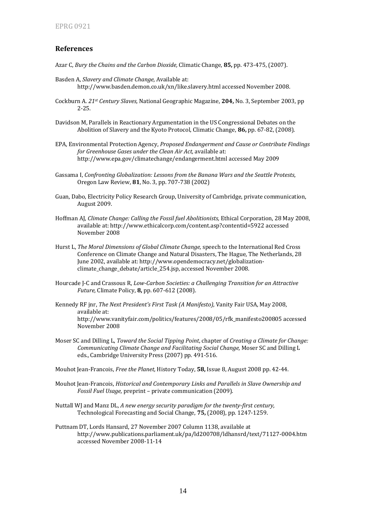#### **Refere nces**

- Azar C, *Bury the Chains and the Carbon Dioxide*, Climatic Change, **85,** pp. 473-475, (2007).
- Basden A, Slavery and Climate Change, Available at: http://www.basden.demon.co.uk/xn/like.slavery.html accessed November 2008.
- Cockburn A. *21st Century Slaves,* National Geographic Magazine, **204,** No. 3, September 2003, pp 2‐25.
- Davidson M, Parallels in Reactionary Argumentation in the US Congressional Debates on the Abolition of Slavery and the Kyoto Protocol, Climatic Change, **86,** pp. 67‐82, (2008).
- EPA, Environmental Protection Agency, *Proposed Endangerment and Cause or Contribute Findings for Greenhouse Gases under the Clean Air Act,* available at: http://www.epa.gov/climatechange/endangerment.html accessed May 2009
- Gassama I, *Confronting Globalization: Lessons from the Banana Wars and the Seattle Protests*, Oregon Law Review, **81**, No. 3, pp. 707‐738 (2002)
- Guan, Dabo, Electricity Policy Research Group, University of Cambridge, private communication, August 2009.
- Hoffman AJ, *Climate Change: Calling the Fossil fuel Abolitionists,* Ethical Corporation, 28 May 2008, available at: http://www.ethicalcorp.com/content.asp?contentid=5922 accessed November 2008
- Hurst L, *The Moral Dimensions of Global Climate Change,* speech to the International Red Cross Conference on Climate Change and Natural Disasters, The Hague, The Netherlands, 28 June 2002, available at: http://www.opendemocracy.net/globalization‐ climate change debate/article 254.jsp, accessed November 2008.
- ourcade J‐C and Crassous R, *LowCarbon Societies: a Challenging Transition for an Attractive* H *Future,* Climate Policy, **8**, pp. 607-612 (2008).
- Kennedy RF jnr, *The Next President's First Task (A Manifesto),* Vanity Fair USA, May 2008, available at: http://www.vanityfair.com/politics/features/2008/05/rfk\_manifesto200805 accessed November 2008
- Moser SC and Dilling L, *Toward the Social Tipping Point*, chapter of *Creating a Climate for Change: Communicating Climate Change and Facilitating Social Change,* Moser SC and Dilling L eds., Cambridge University Press (2007) pp. 491-516.

Mouhot Jean‐Francois, *Free the Planet,* History Today, **58,** Issue 8, August 2008 pp. 42‐44.

- Mouhot Jean‐Francois, *Historical and Contemporary Links and Parallels in Slave Ownership and Fossil Fuel Usage,* preprint – private communication (2009).
- uttall WJ and Manz DL, *A new energy security paradigm for the twentyfirst century,* N Technological Forecasting and Social Change, **75,** (2008), pp. 1247-1259.
- Puttnam DT, Lords Hansard, 27 November 2007 Column 1138, available at http://www.publications.parliament.uk/pa/ld200708/ldhansrd/text/71127‐0004.htm accessed November 2008‐11‐14